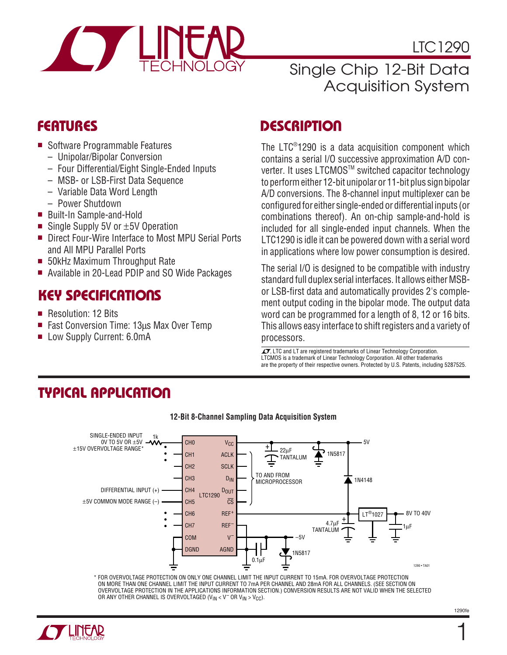

LTC1290

# Single Chip 12-Bit Data Acquisition System

# **FEATURES**

- Software Programmable Features
	- Unipolar/Bipolar Conversion
	- Four Differential/Eight Single-Ended Inputs
	- MSB- or LSB-First Data Sequence
	- Variable Data Word Length
	- Power Shutdown
- Built-In Sample-and-Hold
- Single Supply 5V or  $±5V$  Operation
- Direct Four-Wire Interface to Most MPU Serial Ports and All MPU Parallel Ports
- 50kHz Maximum Throughput Rate
- Available in 20-Lead PDIP and SO Wide Packages

# **KEY SPECIFICATIONS**

- Resolution: 12 Bits
- Fast Conversion Time: 13us Max Over Temp
- Low Supply Current: 6.0mA

# **DESCRIPTION**

The LTC® 1290 is a data acquisition component which contains a serial I/O successive approximation A/D converter. It uses LTCMOSTM switched capacitor technology to perform either 12-bit unipolar or 11-bit plus sign bipolar A/D conversions. The 8-channel input multiplexer can be configured for either single-ended or differential inputs (or combinations thereof). An on-chip sample-and-hold is included for all single-ended input channels. When the LTC1290 is idle it can be powered down with a serial word in applications where low power consumption is desired.

The serial I/O is designed to be compatible with industry standard full duplex serial interfaces. It allows either MSBor LSB-first data and automatically provides 2's complement output coding in the bipolar mode. The output data word can be programmed for a length of 8, 12 or 16 bits. This allows easy interface to shift registers and a variety of processors.

 $\sqrt{J}$ , LTC and LT are registered trademarks of Linear Technology Corporation. LTCMOS is a trademark of Linear Technology Corporation. All other trademarks are the property of their respective owners. Protected by U.S. Patents, including 5287525.

# **TYPICAL APPLICATION**



\* FOR OVERVOLTAGE PROTECTION ON ONLY ONE CHANNEL LIMIT THE INPUT CURRENT TO 15mA. FOR OVERVOLTAGE PROTECTION ON MORE THAN ONE CHANNEL LIMIT THE INPUT CURRENT TO 7mA PER CHANNEL AND 28mA FOR ALL CHANNELS. (SEE SECTION ON OVERVOLTAGE PROTECTION IN THE APPLICATIONS INFORMATION SECTION.) CONVERSION RESULTS ARE NOT VALID WHEN THE SELECTED OR ANY OTHER CHANNEL IS OVERVOLTAGED ( $V_{IN} < V^-$  OR  $V_{IN} > V_{CC}$ ).



### **12-Bit 8-Channel Sampling Data Acquisition System**

1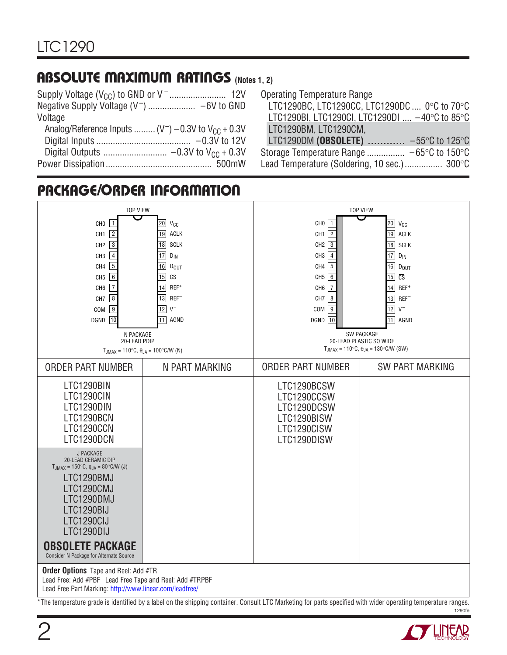# **ABSOLUTE MAXIMUM RATINGS (Notes 1, 2)**

| Voltage                                                   |  |
|-----------------------------------------------------------|--|
| Analog/Reference Inputs $(V^-) - 0.3V$ to $V_{CC} + 0.3V$ |  |
|                                                           |  |
|                                                           |  |
|                                                           |  |
|                                                           |  |

Operating Temperature Range

| LTC1290BC, LTC1290CC, LTC1290DC  0°C to 70°C                  |  |
|---------------------------------------------------------------|--|
| LTC1290BI, LTC1290CI, LTC1290DI  -40°C to 85°C                |  |
| LTC1290BM, LTC1290CM,                                         |  |
| LTC1290DM (OBSOLETE) $\ldots$ -55°C to 125°C                  |  |
| Storage Temperature Range $-65^{\circ}$ C to 150 $^{\circ}$ C |  |
| Lead Temperature (Soldering, 10 sec.) 300°C                   |  |



 1290fe \*The temperature grade is identified by a label on the shipping container. Consult LTC Marketing for parts specified with wider operating temperature ranges.

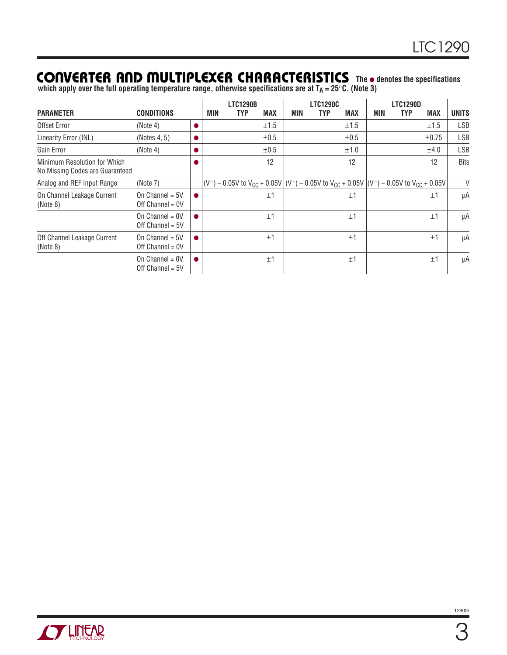# **CONVERTER AND MULTIPLEXER CHARACTERISTICS** The **•** denotes the specifications

which apply over the full operating temperature range, otherwise specifications are at T<sub>A</sub> = 25°C. (Note 3)

|                                                                 |                                         |     | <b>LTC1290B</b>                                                                                              |            |     | <b>LTC1290C</b> |            |     | <b>LTC1290D</b> |            |              |
|-----------------------------------------------------------------|-----------------------------------------|-----|--------------------------------------------------------------------------------------------------------------|------------|-----|-----------------|------------|-----|-----------------|------------|--------------|
| <b>PARAMETER</b>                                                | <b>CONDITIONS</b>                       | MIN | <b>TYP</b>                                                                                                   | <b>MAX</b> | MIN | <b>TYP</b>      | <b>MAX</b> | MIN | TYP             | <b>MAX</b> | <b>UNITS</b> |
| Offset Error                                                    | (Note 4)                                |     |                                                                                                              | ±1.5       |     |                 | ±1.5       |     |                 | ±1.5       | <b>LSB</b>   |
| Linearity Error (INL)                                           | (Notes 4, 5)                            |     |                                                                                                              | $\pm 0.5$  |     |                 | $\pm 0.5$  |     |                 | $\pm 0.75$ | <b>LSB</b>   |
| Gain Error                                                      | (Note 4)                                |     |                                                                                                              | $\pm 0.5$  |     |                 | ±1.0       |     |                 | ±4.0       | <b>LSB</b>   |
| Minimum Resolution for Which<br>No Missing Codes are Guaranteed |                                         |     |                                                                                                              | 12         |     |                 | 12         |     |                 | 12         | <b>Bits</b>  |
| Analog and REF Input Range                                      | (Note 7)                                |     | $ (V^-) - 0.05V$ to $V_{CC} + 0.05V   (V^-) - 0.05V$ to $V_{CC} + 0.05V   (V^-) - 0.05V$ to $V_{CC} + 0.05V$ |            |     |                 |            |     |                 |            | V            |
| On Channel Leakage Current<br>(Note 8)                          | On Channel = $5V$<br>Off $Channel = OV$ |     |                                                                                                              | ±1         |     |                 | ±1         |     |                 | ±1         | μA           |
|                                                                 | On Channel = $0V$<br>Off Channel = $5V$ |     |                                                                                                              | ±1         |     |                 | ±1         |     |                 | ±1         | μA           |
| Off Channel Leakage Current<br>(Note 8)                         | On Channel = $5V$<br>Off Channel = $0V$ |     |                                                                                                              | ±1         |     |                 | ±1         |     |                 | ±1         | μA           |
|                                                                 | On Channel = $0V$<br>Off Channel = $5V$ |     |                                                                                                              | ±1         |     |                 | ±1         |     |                 | ±1         | μA           |

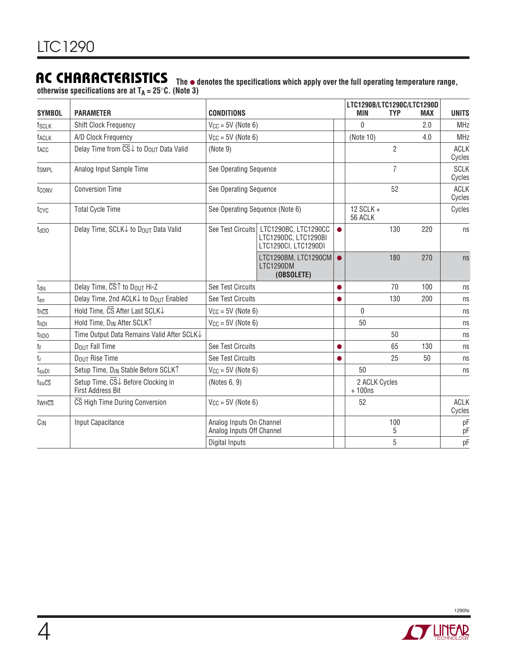**AC CHARACTERISTICS The** ● **denotes the specifications which apply over the full operating temperature range, otherwise specifications are at TA = 25**°**C. (Note 3)**

| <b>SYMBOL</b>                       | <b>PARAMETER</b>                                                    | <b>CONDITIONS</b>                                     |                                                                      |           | LTC1290B/LTC1290C/LTC1290D<br><b>MIN</b> | <b>TYP</b>     | <b>MAX</b> | <b>UNITS</b>          |
|-------------------------------------|---------------------------------------------------------------------|-------------------------------------------------------|----------------------------------------------------------------------|-----------|------------------------------------------|----------------|------------|-----------------------|
| <b>fsclk</b>                        | <b>Shift Clock Frequency</b>                                        | $V_{CC} = 5V$ (Note 6)                                |                                                                      |           | 0                                        |                | 2.0        | <b>MHz</b>            |
| faclk                               | A/D Clock Frequency                                                 | $V_{CC} = 5V$ (Note 6)                                |                                                                      |           | (Note 10)                                |                | 4.0        | <b>MHz</b>            |
| tacc                                | Delay Time from CS↓ to Dou⊤ Data Valid                              | (Note 9)                                              |                                                                      |           |                                          | $\overline{2}$ |            | <b>ACLK</b><br>Cycles |
| tsmpl                               | Analog Input Sample Time                                            | See Operating Sequence                                |                                                                      |           |                                          | $\overline{7}$ |            | <b>SCLK</b><br>Cycles |
| tconv                               | <b>Conversion Time</b>                                              | See Operating Sequence                                |                                                                      |           |                                          | 52             |            | <b>ACLK</b><br>Cycles |
| tcyc                                | <b>Total Cycle Time</b>                                             | See Operating Sequence (Note 6)                       |                                                                      |           | 12 SCLK +<br>56 ACLK                     |                |            | Cycles                |
| $t_{dDD}$                           | Delay Time, SCLK↓ to Dou⊤ Data Valid                                | See Test Circuits                                     | LTC1290BC, LTC1290CC<br>LTC1290DC, LTC1290BI<br>LTC1290CI, LTC1290DI | $\bullet$ |                                          | 130            | 220        | ns                    |
|                                     |                                                                     |                                                       | LTC1290BM, LTC1290CM<br>LTC1290DM<br>(OBSOLETE)                      |           |                                          | 180            | 270        | ns                    |
| t <sub>dis</sub>                    | Delay Time, $\overline{\text{CS}}\text{T}$ to D <sub>OUT</sub> Hi-Z | See Test Circuits                                     |                                                                      |           |                                          | 70             | 100        | ns                    |
| ten                                 | Delay Time, 2nd ACLK↓ to D <sub>OUT</sub> Enabled                   | See Test Circuits                                     |                                                                      |           |                                          | 130            | 200        | ns                    |
| thcs                                | Hold Time, CS After Last SCLK↓                                      | $V_{CC} = 5V$ (Note 6)                                |                                                                      |           | $\Omega$                                 |                |            | ns                    |
| t <sub>hDI</sub>                    | Hold Time, DIN After SCLKT                                          | $V_{CC} = 5V$ (Note 6)                                |                                                                      |           | 50                                       |                |            | ns                    |
| thDO                                | Time Output Data Remains Valid After SCLK↓                          |                                                       |                                                                      |           |                                          | 50             |            | ns                    |
| tf                                  | DOUT Fall Time                                                      | See Test Circuits                                     |                                                                      |           |                                          | 65             | 130        | ns                    |
| tr                                  | <b>DOUT Rise Time</b>                                               | See Test Circuits                                     |                                                                      |           |                                          | 25             | 50         | ns                    |
| $t_{\text{sub}}$                    | Setup Time, D <sub>IN</sub> Stable Before SCLK <sup>T</sup>         | $V_{CC} = 5V$ (Note 6)                                |                                                                      |           | 50                                       |                |            | ns                    |
| $t_{\text{su}}\overline{\text{CS}}$ | Setup Time, CS↓ Before Clocking in<br>First Address Bit             | (Notes 6, 9)                                          |                                                                      |           | 2 ACLK Cycles<br>$+100$ ns               |                |            |                       |
| twhcs                               | CS High Time During Conversion                                      | $V_{CC} = 5V$ (Note 6)                                |                                                                      |           | 52                                       |                |            | <b>ACLK</b><br>Cycles |
| $C_{IN}$                            | Input Capacitance                                                   | Analog Inputs On Channel<br>Analog Inputs Off Channel |                                                                      |           |                                          | 100<br>5       |            | pF<br>pF              |
|                                     |                                                                     | Digital Inputs                                        |                                                                      |           |                                          | 5              |            | pF                    |

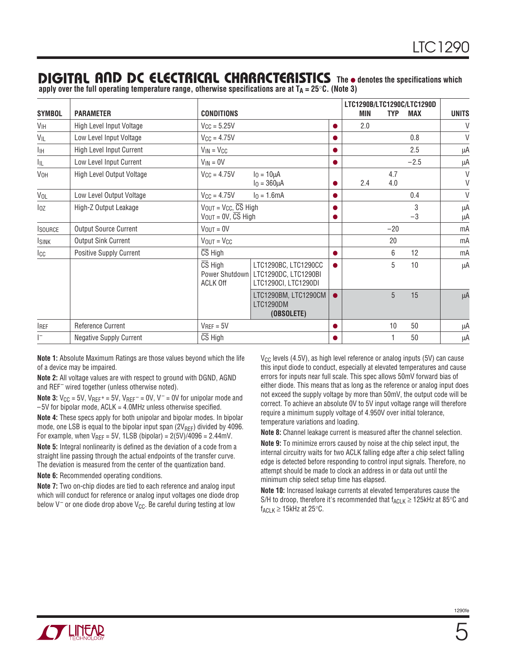### **DIGITAL AND DC ELECTRICAL CHARACTERISTICS** The **e** denotes the specifications which

**apply over the full operating temperature range, otherwise specifications are at TA = 25**°**C. (Note 3)**

| <b>SYMBOL</b>   | <b>PARAMETER</b>               | <b>CONDITIONS</b>                                                               |                                                                      |           | <b>MIN</b> | <b>TYP</b> | LTC1290B/LTC1290C/LTC1290D<br><b>MAX</b> | <b>UNITS</b>     |
|-----------------|--------------------------------|---------------------------------------------------------------------------------|----------------------------------------------------------------------|-----------|------------|------------|------------------------------------------|------------------|
| VIH             | High Level Input Voltage       | $V_{CC} = 5.25V$                                                                |                                                                      |           | 2.0        |            |                                          | V                |
| VIL             | Low Level Input Voltage        | $V_{CC} = 4.75V$                                                                |                                                                      |           |            |            | 0.8                                      | $\vee$           |
| IІН             | High Level Input Current       | $V_{IN} = V_{CC}$                                                               |                                                                      |           |            |            | 2.5                                      | μA               |
| Ιıμ             | Low Level Input Current        | $V_{IN} = 0V$                                                                   |                                                                      | ●         |            |            | $-2.5$                                   | μA               |
| V <sub>OH</sub> | High Level Output Voltage      | $V_{\text{CC}} = 4.75V$                                                         | $I_0 = 10 \mu A$<br>$I_0 = 360 \mu A$                                |           | 2.4        | 4.7<br>4.0 |                                          | $\vee$<br>$\vee$ |
| VOL             | Low Level Output Voltage       | $V_{CC} = 4.75V$                                                                | $I_0 = 1.6mA$                                                        | $\bullet$ |            |            | 0.4                                      | $\vee$           |
| loz             | High-Z Output Leakage          | $V_{OUT} = V_{CC}, \overline{CS}$ High<br>$V_{OUT} = 0V$ , $\overline{CS}$ High |                                                                      |           |            |            | 3<br>$-3$                                | μA<br>μA         |
| <b>ISOURCE</b>  | <b>Output Source Current</b>   | $V_{\text{OUT}} = 0V$                                                           |                                                                      |           |            | $-20$      |                                          | mA               |
| <b>ISINK</b>    | <b>Output Sink Current</b>     | $V_{OUT} = V_{CC}$                                                              |                                                                      |           |            | 20         |                                          | mA               |
| $_{\rm{ICC}}$   | <b>Positive Supply Current</b> | $\overline{\text{CS}}$ High                                                     |                                                                      |           |            | 6          | 12                                       | mA               |
|                 |                                | $\overline{\text{CS}}$ High<br>Power Shutdown<br><b>ACLK Off</b>                | LTC1290BC, LTC1290CC<br>LTC1290DC, LTC1290BI<br>LTC1290CI, LTC1290DI | ●         |            | 5          | 10                                       | μA               |
|                 |                                |                                                                                 | LTC1290BM, LTC1290CM<br>LTC1290DM<br>(OBSOLETE)                      |           |            | 5          | 15                                       | μA               |
| <b>IREF</b>     | Reference Current              | $V_{REF} = 5V$                                                                  |                                                                      |           |            | 10         | 50                                       | μA               |
| I-              | <b>Negative Supply Current</b> | $\overline{\text{CS}}$ High                                                     |                                                                      |           |            |            | 50                                       | μA               |

**Note 1:** Absolute Maximum Ratings are those values beyond which the life of a device may be impaired.

**Note 2:** All voltage values are with respect to ground with DGND, AGND and REF– wired together (unless otherwise noted).

**Note 3:**  $V_{CC} = 5V$ ,  $V_{REF} = 5V$ ,  $V_{REF} = 0V$ ,  $V = 0V$  for unipolar mode and –5V for bipolar mode, ACLK = 4.0MHz unless otherwise specified.

**Note 4:** These specs apply for both unipolar and bipolar modes. In bipolar mode, one LSB is equal to the bipolar input span  $(2V_{REF})$  divided by 4096. For example, when  $V_{REF} = 5V$ , 1LSB (bipolar) =  $2(5V)/4096 = 2.44mV$ .

**Note 5:** Integral nonlinearity is defined as the deviation of a code from a straight line passing through the actual endpoints of the transfer curve. The deviation is measured from the center of the quantization band.

**Note 6:** Recommended operating conditions.

**Note 7:** Two on-chip diodes are tied to each reference and analog input which will conduct for reference or analog input voltages one diode drop below  $V^-$  or one diode drop above  $V_{CC}$ . Be careful during testing at low

 $V_{\text{CC}}$  levels (4.5V), as high level reference or analog inputs (5V) can cause this input diode to conduct, especially at elevated temperatures and cause errors for inputs near full scale. This spec allows 50mV forward bias of either diode. This means that as long as the reference or analog input does not exceed the supply voltage by more than 50mV, the output code will be correct. To achieve an absolute 0V to 5V input voltage range will therefore require a minimum supply voltage of 4.950V over initial tolerance, temperature variations and loading.

**Note 8:** Channel leakage current is measured after the channel selection.

**Note 9:** To minimize errors caused by noise at the chip select input, the internal circuitry waits for two ACLK falling edge after a chip select falling edge is detected before responding to control input signals. Therefore, no attempt should be made to clock an address in or data out until the minimum chip select setup time has elapsed.

**Note 10:** Increased leakage currents at elevated temperatures cause the S/H to droop, therefore it's recommended that  $f_{\text{ACLK}} \ge 125$  kHz at 85°C and  $f_{ACLK} \ge 15$ kHz at 25°C.

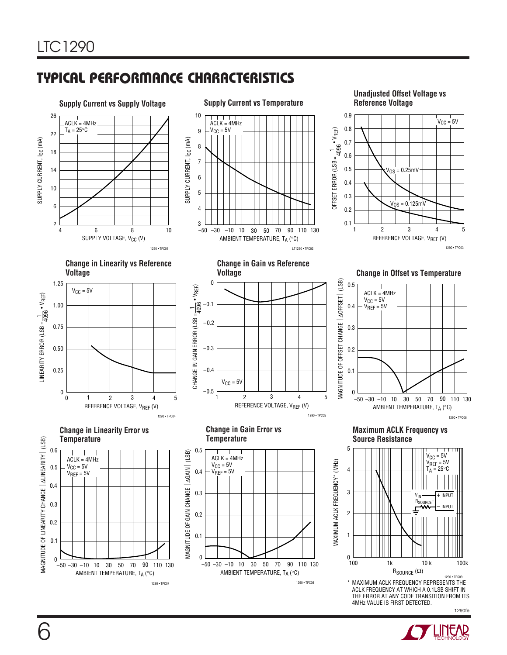# **C C HARA TERISTICS U W TYPICAL PERFOR A CE**



 1290fe 4MHz VALUE IS FIRST DETECTED.

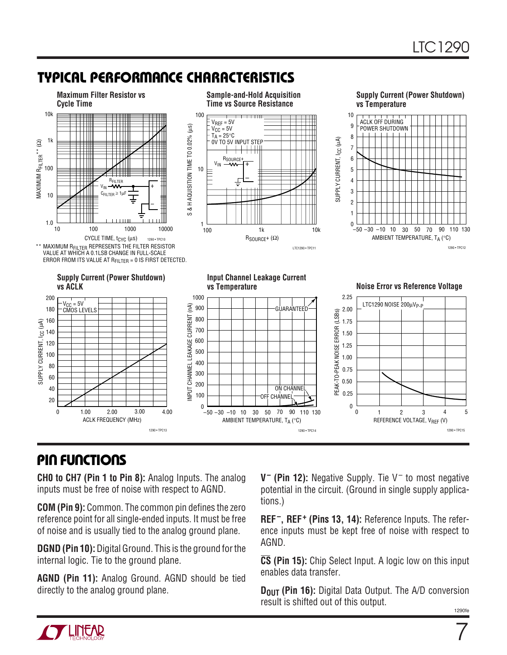# **TYPICAL PERFORMANCE CHARACTERISTICS**



# **PIN FUNCTIONS**

**CH0 to CH7 (Pin 1 to Pin 8):** Analog Inputs. The analog inputs must be free of noise with respect to AGND.

**COM (Pin 9):** Common. The common pin defines the zero reference point for all single-ended inputs. It must be free of noise and is usually tied to the analog ground plane.

**DGND (Pin 10):** Digital Ground. This is the ground for the internal logic. Tie to the ground plane.

**AGND (Pin 11):** Analog Ground. AGND should be tied directly to the analog ground plane.

**V– (Pin 12):** Negative Supply. Tie V– to most negative potential in the circuit. (Ground in single supply applications.)

**REF–, REF+ (Pins 13, 14):** Reference Inputs. The reference inputs must be kept free of noise with respect to AGND.

**CS (Pin 15):** Chip Select Input. A logic low on this input enables data transfer.

**D<sub>OUT</sub> (Pin 16):** Digital Data Output. The A/D conversion result is shifted out of this output.

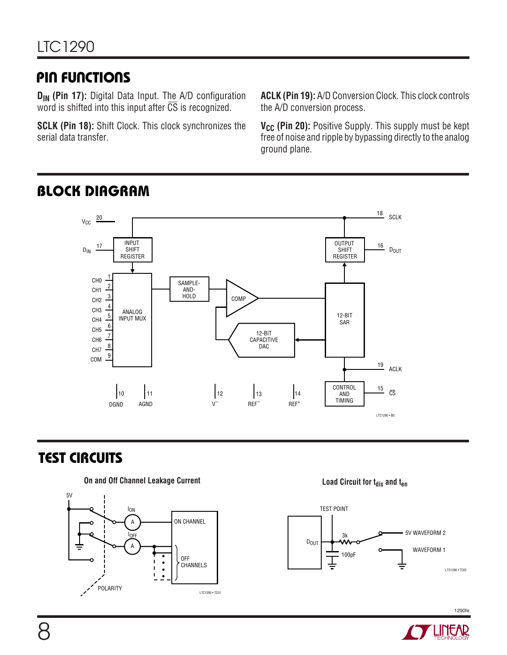# **PIN FUNCTIONS**

**DIN (Pin 17):** Digital Data Input. The A/D configuration word is shifted into this input after CS is recognized.

**SCLK (Pin 18):** Shift Clock. This clock synchronizes the serial data transfer.

**ACLK (Pin 19):** A/D Conversion Clock. This clock controls the A/D conversion process.

V<sub>CC</sub> (Pin 20): Positive Supply. This supply must be kept free of noise and ripple by bypassing directly to the analog ground plane.



# **BLOCK DIAGRAM**

# **TEST CIRCUITS**







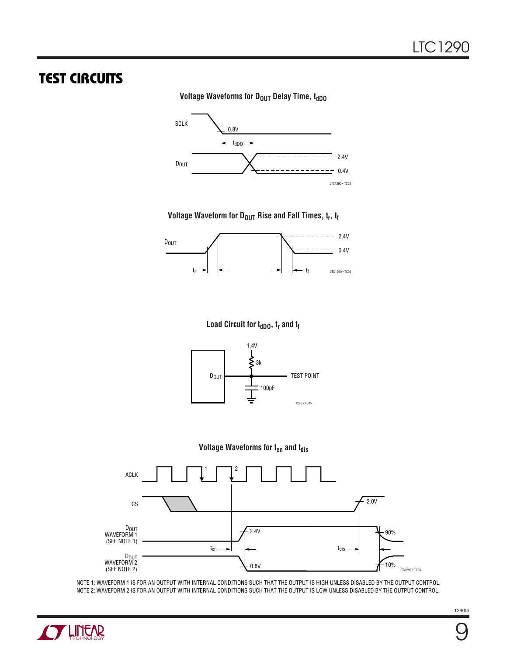# **TEST CIRCUITS**

#### **Voltage Waveforms for DOUT Delay Time, toppo**



#### Voltage Waveform for D<sub>OUT</sub> Rise and Fall Times,  $t_r$ ,  $t_f$



#### **Load Circuit for t<sub>dDO</sub>, t<sub>r</sub> and t<sub>f</sub>**







NOTE 1: WAVEFORM 1 IS FOR AN OUTPUT WITH INTERNAL CONDITIONS SUCH THAT THE OUTPUT IS HIGH UNLESS DISABLED BY THE OUTPUT CONTROL. NOTE 2: WAVEFORM 2 IS FOR AN OUTPUT WITH INTERNAL CONDITIONS SUCH THAT THE OUTPUT IS LOW UNLESS DISABLED BY THE OUTPUT CONTROL.



9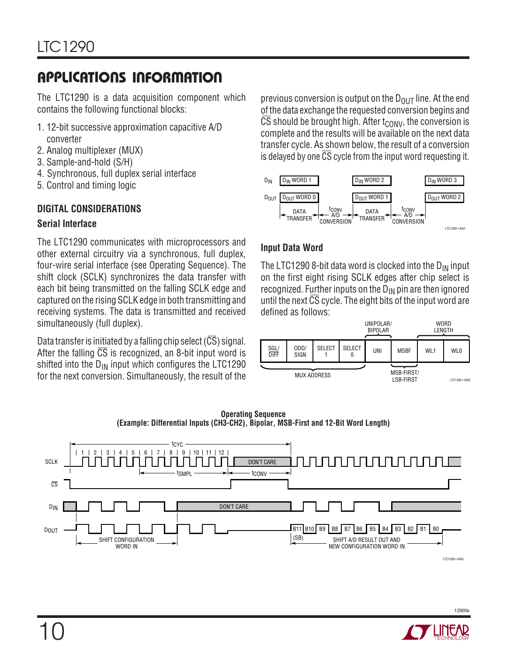The LTC1290 is a data acquisition component which contains the following functional blocks:

- 1. 12-bit successive approximation capacitive A/D converter
- 2. Analog multiplexer (MUX)
- 3. Sample-and-hold (S/H)
- 4. Synchronous, full duplex serial interface
- 5. Control and timing logic

### **DIGITAL CONSIDERATIONS**

### **Serial Interface**

The LTC1290 communicates with microprocessors and other external circuitry via a synchronous, full duplex, four-wire serial interface (see Operating Sequence). The shift clock (SCLK) synchronizes the data transfer with each bit being transmitted on the falling SCLK edge and captured on the rising SCLK edge in both transmitting and receiving systems. The data is transmitted and received simultaneously (full duplex).

Data transfer is initiated by a falling chip select ( $\overline{CS}$ ) signal. After the falling  $\overline{CS}$  is recognized, an 8-bit input word is shifted into the  $D_{IN}$  input which configures the LTC1290 for the next conversion. Simultaneously, the result of the

previous conversion is output on the  $D_{\text{OUT}}$  line. At the end of the data exchange the requested conversion begins and  $CS$  should be brought high. After  $t_{CONV}$ , the conversion is complete and the results will be available on the next data transfer cycle. As shown below, the result of a conversion is delayed by one CS cycle from the input word requesting it.



### **Input Data Word**

The LTC1290 8-bit data word is clocked into the  $D_{IN}$  input on the first eight rising SCLK edges after chip select is recognized. Further inputs on the  $D_{IN}$  pin are then ignored until the next  $\overline{CS}$  cycle. The eight bits of the input word are defined as follows:







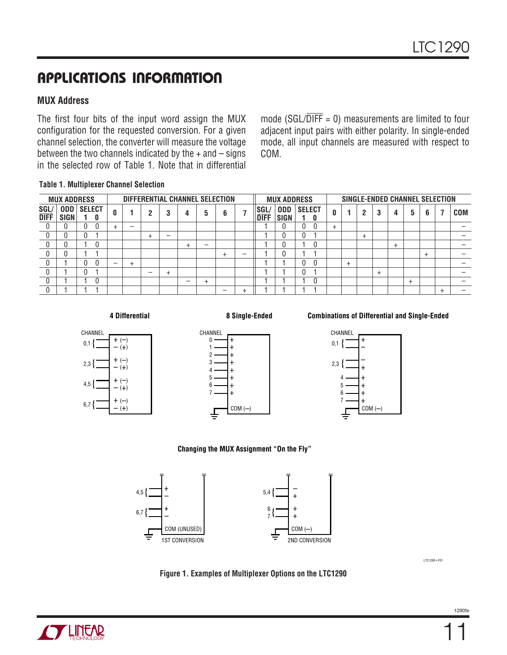### **MUX Address**

The first four bits of the input word assign the MUX configuration for the requested conversion. For a given channel selection, the converter will measure the voltage between the two channels indicated by the  $+$  and  $-$  signs in the selected row of Table 1. Note that in differential

mode (SGL/ $\overline{DIFF} = 0$ ) measurements are limited to four adjacent input pairs with either polarity. In single-ended mode, all input channels are measured with respect to COM.

#### **Table 1. Multiplexer Channel Selection**

|                     | <b>MUX ADDRESS</b>        |                    |   |  | DIFFERENTIAL CHANNEL SELECTION |   |           |   |   |           |   |                    | <b>MUX ADDRESS</b>        |                    |   |                |                | SINGLE-ENDED CHANNEL SELECTION |           |   |            |
|---------------------|---------------------------|--------------------|---|--|--------------------------------|---|-----------|---|---|-----------|---|--------------------|---------------------------|--------------------|---|----------------|----------------|--------------------------------|-----------|---|------------|
| <b>SGL/</b><br>DIFF | <b>ODD</b><br><b>SIGN</b> | <b>SELECT</b><br>0 |   |  |                                |   | 3         | 4 |   | 6         |   | SGL<br><b>DIFF</b> | <b>ODD</b><br><b>SIGN</b> | <b>SELECT</b><br>n |   | $\overline{2}$ | 3              |                                | 5         | 6 | <b>COM</b> |
|                     |                           |                    |   |  | —                              |   |           |   |   |           |   |                    |                           |                    |   |                |                |                                |           |   |            |
|                     |                           |                    |   |  |                                |   |           |   |   |           |   |                    |                           |                    |   | $\ddot{}$      |                |                                |           |   |            |
|                     |                           | 0                  |   |  |                                |   |           |   | – |           |   |                    |                           |                    |   |                |                |                                |           |   |            |
|                     |                           |                    |   |  |                                |   |           |   |   | $\ddot{}$ | – |                    |                           |                    |   |                |                |                                |           | ÷ |            |
|                     |                           | 0                  | — |  | $\overline{+}$                 |   |           |   |   |           |   |                    |                           |                    | ÷ |                |                |                                |           |   |            |
|                     |                           |                    |   |  |                                | - | $\ddot{}$ |   |   |           |   |                    |                           |                    |   |                | $\overline{ }$ |                                |           |   |            |
|                     |                           |                    |   |  |                                |   |           | I |   |           |   |                    |                           |                    |   |                |                |                                | $\ddot{}$ |   |            |
|                     |                           |                    |   |  |                                |   |           |   |   |           |   |                    |                           |                    |   |                |                |                                |           |   |            |

#### **4 Differential**











**Changing the MUX Assignment "On the Fly"**







11

LTC1290 • F01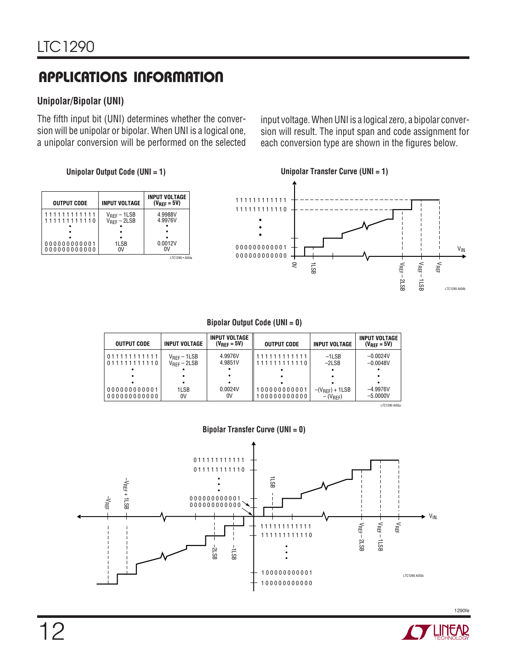### **Unipolar/Bipolar (UNI)**

The fifth input bit (UNI) determines whether the conversion will be unipolar or bipolar. When UNI is a logical one, a unipolar conversion will be performed on the selected

input voltage. When UNI is a logical zero, a bipolar conversion will result. The input span and code assignment for each conversion type are shown in the figures below.

### **Unipolar Output Code (UNI = 1)**

| <b>OUTPUT CODE</b>           | <b>INPUT VOLTAGE</b>                 | <b>INPUT VOLTAGE</b><br>$(V_{RFF} = 5V)$ |
|------------------------------|--------------------------------------|------------------------------------------|
| 11111111111<br>111111111110  | $V_{REF} - 1LSB$<br>$V_{REF} - 2LSB$ | 4.9988V<br>4.9976V                       |
|                              |                                      |                                          |
| 000000000001<br>000000000000 | 1LSB<br>n۷                           | 0.0012V                                  |
|                              |                                      | I TC1290 . AI04a                         |



| <b>OUTPUT CODE</b>           | <b>INPUT VOLTAGE</b>                               | <b>INPUT VOLTAGE</b><br>$(V_{RFF} = 5V)$ | <b>OUTPUT CODE</b>           | INPUT VOLTAGE                       | INPUT VOLTAGE<br>$(V_{RFF} = 5V)$ |
|------------------------------|----------------------------------------------------|------------------------------------------|------------------------------|-------------------------------------|-----------------------------------|
| 011111111111<br>011111111110 | $V_{\text{RFF}} - 1LSB$<br>$V_{\text{RFF}} - 2LSB$ | 4.9976V<br>4.9851V                       | 111111111111<br>111111111110 | $-1LSB$<br>$-2LSB$                  | $-0.0024V$<br>$-0.0048V$          |
|                              |                                                    |                                          |                              |                                     |                                   |
| 000000000001<br>000000000000 | 1LSB<br>0V                                         | 0.0024V<br>0V                            | 100000000001<br>100000000000 | $-(V_{REF}) + 1LSB$<br>$-(V_{REF})$ | $-4.9976V$<br>$-5.0000V$          |
|                              |                                                    |                                          |                              |                                     | LTC1290 AI05a                     |



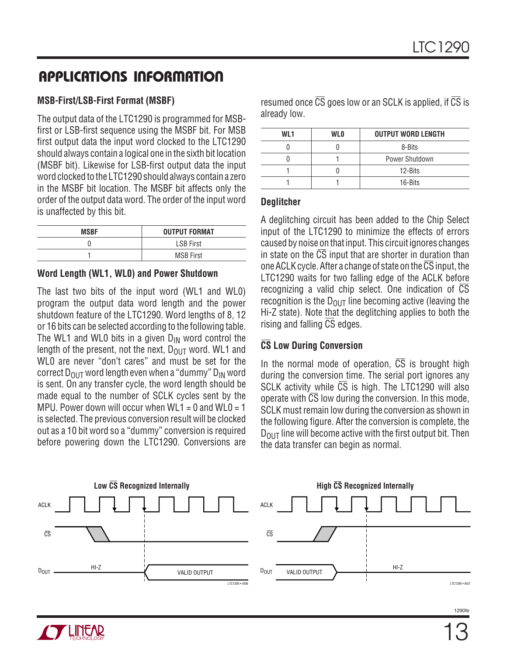### **MSB-First/LSB-First Format (MSBF)**

The output data of the LTC1290 is programmed for MSBfirst or LSB-first sequence using the MSBF bit. For MSB first output data the input word clocked to the LTC1290 should always contain a logical one in the sixth bit location (MSBF bit). Likewise for LSB-first output data the input word clocked to the LTC1290 should always contain a zero in the MSBF bit location. The MSBF bit affects only the order of the output data word. The order of the input word is unaffected by this bit.

| <b>MSBF</b> | <b>OUTPUT FORMAT</b> |
|-------------|----------------------|
|             | <b>LSB First</b>     |
|             | <b>MSB First</b>     |

### **Word Length (WL1, WL0) and Power Shutdown**

The last two bits of the input word (WL1 and WL0) program the output data word length and the power shutdown feature of the LTC1290. Word lengths of 8, 12 or 16 bits can be selected according to the following table. The WL1 and WL0 bits in a given  $D_{IN}$  word control the length of the present, not the next,  $D_{OUT}$  word. WL1 and WL0 are never "don't cares" and must be set for the correct  $D_{\text{OUT}}$  word length even when a "dummy"  $D_{\text{IN}}$  word is sent. On any transfer cycle, the word length should be made equal to the number of SCLK cycles sent by the MPU. Power down will occur when  $W<sub>L1</sub> = 0$  and  $W<sub>L0</sub> = 1$ is selected. The previous conversion result will be clocked out as a 10 bit word so a "dummy" conversion is required before powering down the LTC1290. Conversions are resumed once  $\overline{CS}$  goes low or an SCLK is applied, if  $\overline{CS}$  is already low.

| WI 1 | <b>WLO</b> | <b>OUTPUT WORD LENGTH</b> |
|------|------------|---------------------------|
|      |            | 8-Bits                    |
|      |            | Power Shutdown            |
|      |            | 12-Bits                   |
|      |            | 16-Bits                   |

### **Deglitcher**

A deglitching circuit has been added to the Chip Select input of the LTC1290 to minimize the effects of errors caused by noise on that input. This circuit ignores changes in state on the  $\overline{CS}$  input that are shorter in duration than one ACLK cycle. After a change of state on the  $\overline{\text{CS}}$  input, the LTC1290 waits for two falling edge of the ACLK before recognizing a valid chip select. One indication of CS recognition is the  $D_{OUT}$  line becoming active (leaving the Hi-Z state). Note that the deglitching applies to both the rising and falling CS edges.

### **CS Low During Conversion**

In the normal mode of operation,  $\overline{CS}$  is brought high during the conversion time. The serial port ignores any SCLK activity while  $\overline{CS}$  is high. The LTC1290 will also operate with  $\overline{\text{CS}}$  low during the conversion. In this mode, SCLK must remain low during the conversion as shown in the following figure. After the conversion is complete, the  $D_{\text{OUT}}$  line will become active with the first output bit. Then the data transfer can begin as normal.



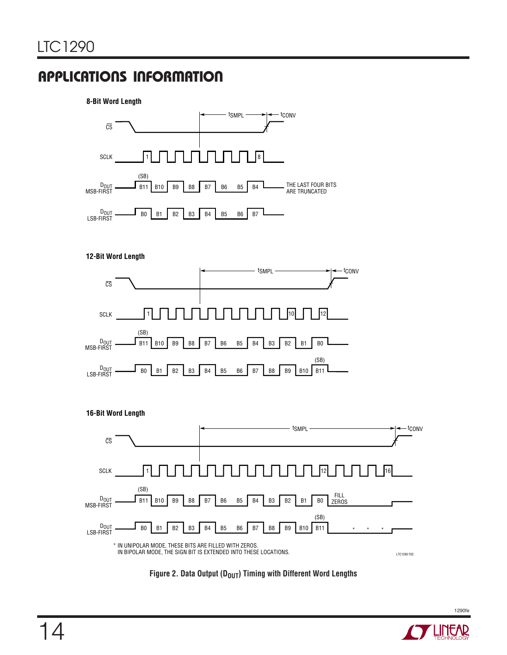#### **8-Bit Word Length**











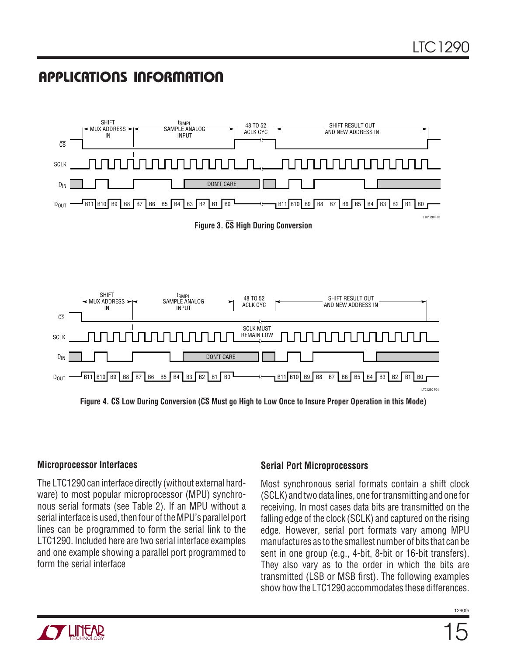

**Figure 4. CS Low During Conversion (CS Must go High to Low Once to Insure Proper Operation in this Mode)**

### **Microprocessor Interfaces**

The LTC1290 can interface directly (without external hardware) to most popular microprocessor (MPU) synchronous serial formats (see Table 2). If an MPU without a serial interface is used, then four of the MPU's parallel port lines can be programmed to form the serial link to the LTC1290. Included here are two serial interface examples and one example showing a parallel port programmed to form the serial interface

### **Serial Port Microprocessors**

Most synchronous serial formats contain a shift clock (SCLK) and two data lines, one for transmitting and one for receiving. In most cases data bits are transmitted on the falling edge of the clock (SCLK) and captured on the rising edge. However, serial port formats vary among MPU manufactures as to the smallest number of bits that can be sent in one group (e.g., 4-bit, 8-bit or 16-bit transfers). They also vary as to the order in which the bits are transmitted (LSB or MSB first). The following examples show how the LTC1290 accommodates these differences.

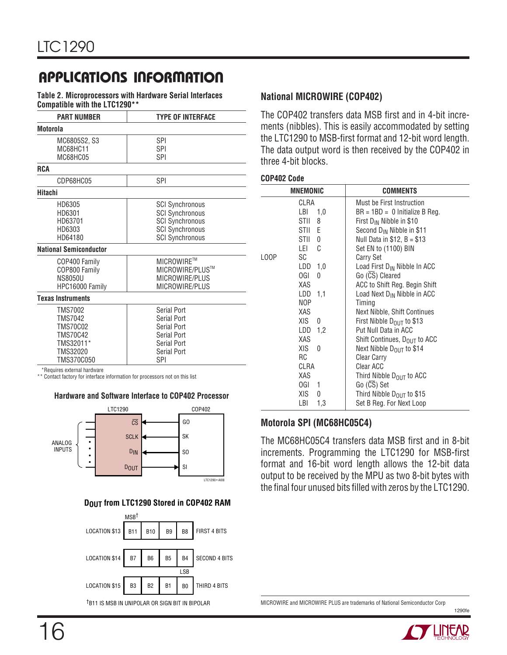**Table 2. Microprocessors with Hardware Serial Interfaces Compatible with the LTC1290\*\***

| <b>PART NUMBER</b>            | <b>TYPE OF INTERFACE</b> |
|-------------------------------|--------------------------|
| Motorola                      |                          |
| MC6805S2, S3                  | SPI                      |
| MC68HC11                      | SPI                      |
| MC68HC05                      | SPI                      |
| <b>RCA</b>                    |                          |
| CDP68HC05                     | SPI                      |
| Hitachi                       |                          |
| HD6305                        | <b>SCI Synchronous</b>   |
| HD6301                        | <b>SCI Synchronous</b>   |
| HD63701                       | <b>SCI Synchronous</b>   |
| HD6303                        | <b>SCI Synchronous</b>   |
| HD64180                       | <b>SCI Synchronous</b>   |
| <b>National Semiconductor</b> |                          |
| COP400 Family                 | MICROWIRE™               |
| COP800 Family                 | MICROWIRE/PLUS™          |
| <b>NS8050U</b>                | MICROWIRE/PLUS           |
| HPC16000 Family               | MICROWIRE/PLUS           |
| <b>Texas Instruments</b>      |                          |
| TMS7002                       | Serial Port              |
| <b>TMS7042</b>                | Serial Port              |
| <b>TMS70C02</b>               | Serial Port              |
| <b>TMS70C42</b>               | Serial Port              |
| TMS32011*                     | Serial Port              |
| TMS32020                      | Serial Port              |
| TMS370C050                    | SPI                      |

\*Requires external hardware

\*\* Contact factory for interface information for processors not on this list

#### **Hardware and Software Interface to COP402 Processor**



#### **DOUT from LTC1290 Stored in COP402 RAM**



**National MICROWIRE (COP402)**

The COP402 transfers data MSB first and in 4-bit increments (nibbles). This is easily accommodated by setting the LTC1290 to MSB-first format and 12-bit word length. The data output word is then received by the COP402 in three 4-bit blocks.

#### **COP402 Code**

|      | <b>MNEMONIC</b> | <b>COMMENTS</b>                          |
|------|-----------------|------------------------------------------|
|      | CLRA            | Must be First Instruction                |
|      | LBI<br>1,0      | $BR = 1BD = 0$ Initialize B Reg.         |
|      | STII<br>8       | First $D_{IN}$ Nibble in \$10            |
|      | STII E          | Second D <sub>IN</sub> Nibble in \$11    |
|      | STII<br>0       | Null Data in $$12, B = $13$              |
|      | LEI<br>C        | Set EN to (1100) BIN                     |
| LOOP | SC              | <b>Carry Set</b>                         |
|      | LDD<br>1,0      | Load First D <sub>IN</sub> Nibble In ACC |
|      | OGI.<br>0       | Go (CS) Cleared                          |
|      | XAS             | ACC to Shift Reg. Begin Shift            |
|      | LDD<br>1,1      | Load Next D <sub>IN</sub> Nibble in ACC  |
|      | NOP             | Timing                                   |
|      | XAS             | Next Nibble, Shift Continues             |
|      | XIS.<br>0       | First Nibble $D_{OIII}$ to \$13          |
|      | $LDD$ 1,2       | Put Null Data in ACC                     |
|      | XAS             | Shift Continues, D <sub>OUT</sub> to ACC |
|      | XIS<br>0        | Next Nibble D <sub>OUT</sub> to \$14     |
|      | RC              | Clear Carry                              |
|      | CLRA            | Clear ACC                                |
|      | XAS             | Third Nibble D <sub>OUT</sub> to ACC     |
|      | OGI.<br>1       | Go (CS) Set                              |
|      | XIS<br>0        | Third Nibble D <sub>OUT</sub> to \$15    |
|      | LBI<br>1,3      | Set B Reg. For Next Loop                 |

#### **Motorola SPI (MC68HC05C4)**

The MC68HC05C4 transfers data MSB first and in 8-bit increments. Programming the LTC1290 for MSB-first format and 16-bit word length allows the 12-bit data output to be received by the MPU as two 8-bit bytes with the final four unused bits filled with zeros by the LTC1290.



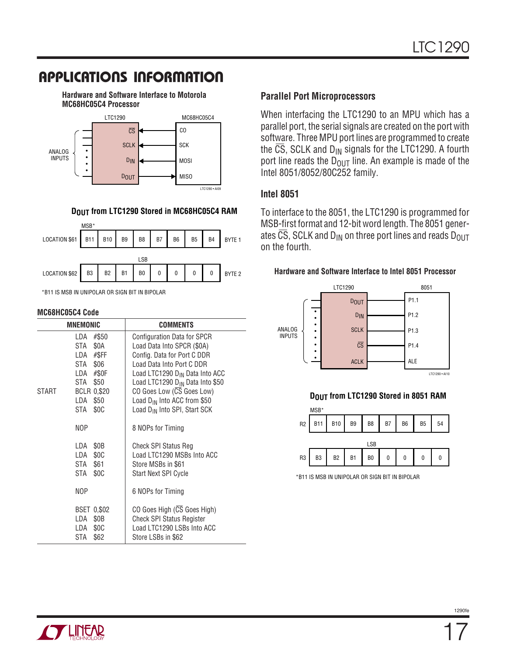**Hardware and Software Interface to Motorola MC68HC05C4 Processor**



#### **DOUT from LTC1290 Stored in MC68HC05C4 RAM**



\*B11 IS MSB IN UNIPOLAR OR SIGN BIT IN BIPOLAR

#### **MC68HC05C4 Code**

|       | <b>MNEMONIC</b>                                                                                                                    | <b>COMMENTS</b>                                                                                                                                                                                                                                                                                                                        |
|-------|------------------------------------------------------------------------------------------------------------------------------------|----------------------------------------------------------------------------------------------------------------------------------------------------------------------------------------------------------------------------------------------------------------------------------------------------------------------------------------|
| START | #\$50<br>I DA<br>STA \$0A<br>LDA #\$FF<br>STA \$06<br>LDA #\$0F<br>STA<br>\$50<br><b>BCLR 0,\$20</b><br>\$50<br>LDA<br>\$0C<br>STA | Configuration Data for SPCR<br>Load Data Into SPCR (\$0A)<br>Config. Data for Port C DDR<br>Load Data Into Port C DDR<br>Load LTC1290 D <sub>IN</sub> Data Into ACC<br>Load LTC1290 D <sub>IN</sub> Data Into \$50<br>CO Goes Low (CS Goes Low)<br>Load D <sub>IN</sub> Into ACC from \$50<br>Load D <sub>IN</sub> Into SPI, Start SCK |
|       | NOP                                                                                                                                | 8 NOPs for Timing                                                                                                                                                                                                                                                                                                                      |
|       | \$0 <sub>B</sub><br>LDA<br>\$0C<br>LDA<br>STA \$61<br>\$0C<br>STA                                                                  | <b>Check SPI Status Reg</b><br>Load LTC1290 MSBs Into ACC<br>Store MSBs in \$61<br><b>Start Next SPI Cycle</b>                                                                                                                                                                                                                         |
|       | NOP                                                                                                                                | 6 NOPs for Timing                                                                                                                                                                                                                                                                                                                      |
|       | <b>BSET 0.\$02</b><br>\$0B<br>LDA<br>\$0C<br>LDA<br>\$62<br>STA                                                                    | CO Goes High (CS Goes High)<br><b>Check SPI Status Register</b><br>Load LTC1290 LSBs Into ACC<br>Store LSBs in \$62                                                                                                                                                                                                                    |

#### **Parallel Port Microprocessors**

When interfacing the LTC1290 to an MPU which has a parallel port, the serial signals are created on the port with software. Three MPU port lines are programmed to create the  $\overline{CS}$ , SCLK and D<sub>IN</sub> signals for the LTC1290. A fourth port line reads the  $D<sub>OUT</sub>$  line. An example is made of the Intel 8051/8052/80C252 family.

#### **Intel 8051**

To interface to the 8051, the LTC1290 is programmed for MSB-first format and 12-bit word length. The 8051 generates  $\overline{CS}$ , SCLK and D<sub>IN</sub> on three port lines and reads D<sub>OUT</sub> on the fourth.

#### **Hardware and Software Interface to Intel 8051 Processor**



#### **DOUT from LTC1290 Stored in 8051 RAM**



\*B11 IS MSB IN UNIPOLAR OR SIGN BIT IN BIPOLAR

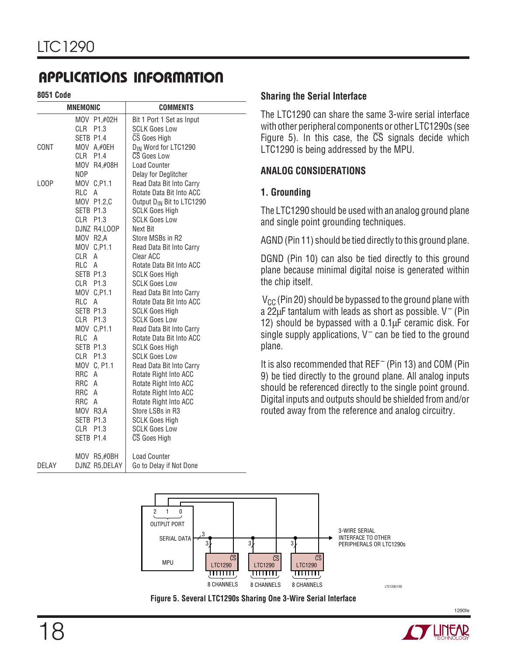**8051 Code**

|       | <b>MNEMONIC</b>         | <b>COMMENTS</b>                                   |
|-------|-------------------------|---------------------------------------------------|
|       | MOV P1,#02H<br>CLR P1.3 | Bit 1 Port 1 Set as Input<br><b>SCLK Goes Low</b> |
|       | SETB P1.4               | CS Goes High                                      |
| CONT  | MOV A,#0EH              | D <sub>IN</sub> Word for LTC1290                  |
|       | CLR P1.4                | CS Goes Low                                       |
|       | MOV R4,#08H             | <b>Load Counter</b>                               |
|       | NOP                     | Delay for Deglitcher                              |
| LOOP  | MOV C, P1.1             | Read Data Bit Into Carry                          |
|       | RLC<br>A                | Rotate Data Bit Into ACC                          |
|       | MOV P1.2,C              | Output D <sub>IN</sub> Bit to LTC1290             |
|       | SETB P1.3               | <b>SCLK Goes High</b>                             |
|       | CLR P1.3                | <b>SCLK Goes Low</b>                              |
|       | DJNZ R4,LOOP            | Next Bit                                          |
|       | MOV R2,A                | Store MSBs in R2                                  |
|       | MOV C, P1.1             | Read Data Bit Into Carry                          |
|       | CLR A                   | Clear ACC                                         |
|       | RLC A                   | Rotate Data Bit Into ACC                          |
|       | SETB P1.3               | <b>SCLK Goes High</b>                             |
|       | CLR P1.3                | <b>SCLK Goes Low</b>                              |
|       | MOV C, P1.1             | Read Data Bit Into Carry                          |
|       | RLC A                   | Rotate Data Bit Into ACC                          |
|       | SETB P1.3               | <b>SCLK Goes High</b>                             |
|       | CLR P1.3                | <b>SCLK Goes Low</b>                              |
|       | MOV C, P1.1             | Read Data Bit Into Carry                          |
|       | RLC A<br>SETB P1.3      | Rotate Data Bit Into ACC                          |
|       | CLR P1.3                | <b>SCLK Goes High</b><br><b>SCLK Goes Low</b>     |
|       | MOV C, P1.1             | Read Data Bit Into Carry                          |
|       | RRC<br>A                | Rotate Right Into ACC                             |
|       | RRC A                   | Rotate Right Into ACC                             |
|       | RRC A                   | Rotate Right Into ACC                             |
|       | RRC A                   | Rotate Right Into ACC                             |
|       | MOV R3,A                | Store LSBs in R3                                  |
|       | SETB P1.3               | <b>SCLK Goes High</b>                             |
|       | CLR P1.3                | <b>SCLK Goes Low</b>                              |
|       | SETB P1.4               | CS Goes High                                      |
|       | MOV R5,#0BH             | <b>Load Counter</b>                               |
| DELAY | DJNZ R5, DELAY          | Go to Delay if Not Done                           |

#### **Sharing the Serial Interface**

The LTC1290 can share the same 3-wire serial interface with other peripheral components or other LTC1290s (see Figure 5). In this case, the  $\overline{CS}$  signals decide which LTC1290 is being addressed by the MPU.

### **ANALOG CONSIDERATIONS**

### **1. Grounding**

The LTC1290 should be used with an analog ground plane and single point grounding techniques.

AGND (Pin 11) should be tied directly to this ground plane.

DGND (Pin 10) can also be tied directly to this ground plane because minimal digital noise is generated within the chip itself.

 $V_{CC}$  (Pin 20) should be bypassed to the ground plane with a 22 $\mu$ F tantalum with leads as short as possible. V<sup>-</sup> (Pin 12) should be bypassed with a  $0.1\mu$ F ceramic disk. For single supply applications,  $V^-$  can be tied to the ground plane.

It is also recommended that REF<sup>-</sup> (Pin 13) and COM (Pin 9) be tied directly to the ground plane. All analog inputs should be referenced directly to the single point ground. Digital inputs and outputs should be shielded from and/or routed away from the reference and analog circuitry.





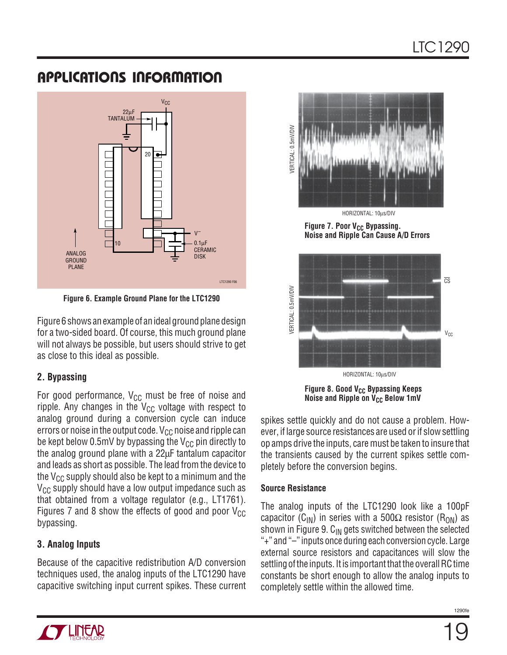

**Figure 6. Example Ground Plane for the LTC1290**

Figure 6 shows an example of an ideal ground plane design for a two-sided board. Of course, this much ground plane will not always be possible, but users should strive to get as close to this ideal as possible.

### **2. Bypassing**

For good performance,  $V_{CC}$  must be free of noise and ripple. Any changes in the  $V_{CC}$  voltage with respect to analog ground during a conversion cycle can induce errors or noise in the output code.  $V_{CC}$  noise and ripple can be kept below 0.5mV by bypassing the  $V_{CC}$  pin directly to the analog ground plane with a 22µF tantalum capacitor and leads as short as possible. The lead from the device to the  $V_{CC}$  supply should also be kept to a minimum and the  $V_{CC}$  supply should have a low output impedance such as that obtained from a voltage regulator (e.g., LT1761). Figures 7 and 8 show the effects of good and poor  $V_{CC}$ bypassing.

### **3. Analog Inputs**

Because of the capacitive redistribution A/D conversion techniques used, the analog inputs of the LTC1290 have capacitive switching input current spikes. These current



HORIZONTAL: 10µs/DIV

**Figure 7. Poor V<sub>CC</sub> Bypassing. Noise and Ripple Can Cause A/D Errors**



**Figure 8. Good V<sub>CC</sub> Bypassing Keeps Noise and Ripple on V<sub>CC</sub> Below 1mV** 

spikes settle quickly and do not cause a problem. However, if large source resistances are used or if slow settling op amps drive the inputs, care must be taken to insure that the transients caused by the current spikes settle completely before the conversion begins.

### **Source Resistance**

The analog inputs of the LTC1290 look like a 100pF capacitor (C<sub>IN</sub>) in series with a 500 $\Omega$  resistor (R<sub>ON</sub>) as shown in Figure 9.  $C_{IN}$  gets switched between the selected "+" and "–" inputs once during each conversion cycle. Large external source resistors and capacitances will slow the settling of the inputs. It is important that the overall RC time constants be short enough to allow the analog inputs to completely settle within the allowed time.

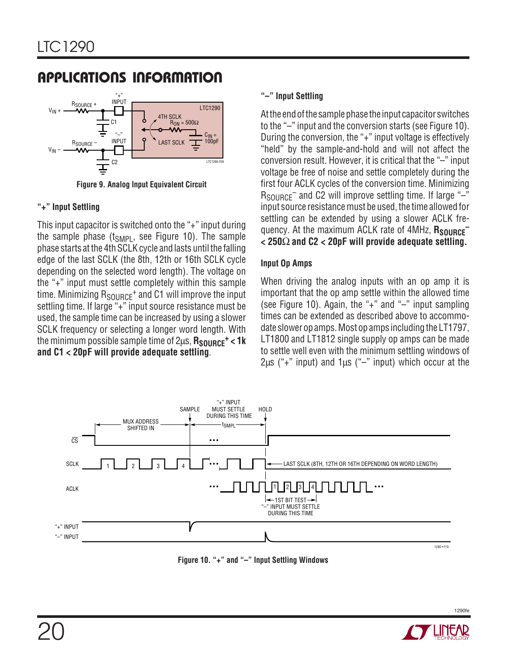

**Figure 9. Analog Input Equivalent Circuit**

### **"+" Input Settling**

This input capacitor is switched onto the "+" input during the sample phase  $(t_{SMPL})$ , see Figure 10). The sample phase starts at the 4th SCLK cycle and lasts until the falling edge of the last SCLK (the 8th, 12th or 16th SCLK cycle depending on the selected word length). The voltage on the "+" input must settle completely within this sample time. Minimizing  $R_{\text{SOLRCE}}$ <sup>+</sup> and C1 will improve the input settling time. If large "+" input source resistance must be used, the sample time can be increased by using a slower SCLK frequency or selecting a longer word length. With the minimum possible sample time of 2us,  $R_{\text{SOLIRCF}}$ <sup>+</sup> < 1k **and C1 < 20pF will provide adequate settling**.

### **"–" Input Settling**

At the end of the sample phase the input capacitor switches to the "–" input and the conversion starts (see Figure 10). During the conversion, the "+" input voltage is effectively "held" by the sample-and-hold and will not affect the conversion result. However, it is critical that the "–" input voltage be free of noise and settle completely during the first four ACLK cycles of the conversion time. Minimizing  $R_{\text{SOLIRCF}}$  and C2 will improve settling time. If large "-" input source resistance must be used, the time allowed for settling can be extended by using a slower ACLK frequency. At the maximum ACLK rate of 4MHz, Rsource<sup>-</sup> **< 250**Ω **and C2 < 20pF will provide adequate settling.**

### **Input Op Amps**

When driving the analog inputs with an op amp it is important that the op amp settle within the allowed time (see Figure 10). Again, the "+" and "–" input sampling times can be extended as described above to accommodate slower op amps. Most op amps including the LT1797, LT1800 and LT1812 single supply op amps can be made to settle well even with the minimum settling windows of  $2\mu s$  ("+" input) and  $1\mu s$  ("-" input) which occur at the



**Figure 10. "+" and "–" Input Settling Windows**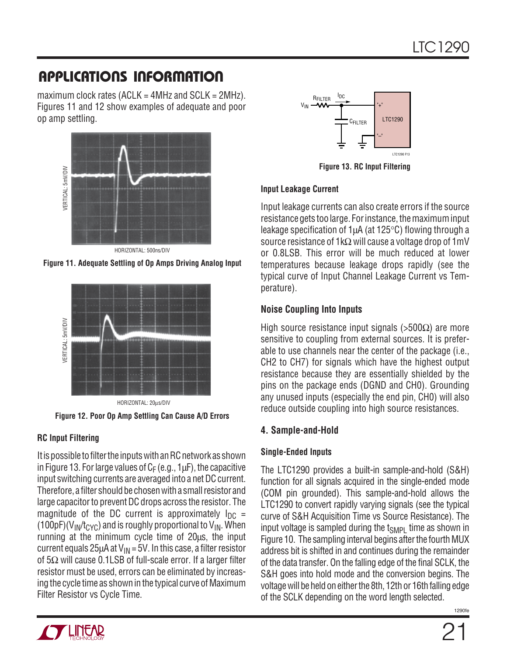maximum clock rates (ACLK =  $4$ MHz and SCLK =  $2$ MHz). Figures 11 and 12 show examples of adequate and poor op amp settling.



HORIZONTAL: 500ns/DIV





### **RC Input Filtering**

It is possible to filter the inputs with an RC network as shown in Figure 13. For large values of  $C_F$  (e.g., 1 $\mu$ F), the capacitive input switching currents are averaged into a net DC current. Therefore, a filter should be chosen with a small resistor and large capacitor to prevent DC drops across the resistor. The magnitude of the DC current is approximately  $I_{DC}$  = (100pF)( $V_{\text{IN}}/t_{\text{CYC}}$ ) and is roughly proportional to  $V_{\text{IN}}$ . When running at the minimum cycle time of 20µs, the input current equals  $25\mu A$  at  $V_{\text{IN}} = 5V$ . In this case, a filter resistor of  $5Ω$  will cause 0.1LSB of full-scale error. If a larger filter resistor must be used, errors can be eliminated by increasing the cycle time as shown in the typical curve of Maximum Filter Resistor vs Cycle Time.



**Figure 13. RC Input Filtering**

### **Input Leakage Current**

Input leakage currents can also create errors if the source resistance gets too large. For instance, the maximum input leakage specification of 1µA (at 125°C) flowing through a source resistance of 1kΩ will cause a voltage drop of 1mV or 0.8LSB. This error will be much reduced at lower temperatures because leakage drops rapidly (see the typical curve of Input Channel Leakage Current vs Temperature).

### **Noise Coupling Into Inputs**

High source resistance input signals (>500 $\Omega$ ) are more sensitive to coupling from external sources. It is preferable to use channels near the center of the package (i.e., CH2 to CH7) for signals which have the highest output resistance because they are essentially shielded by the pins on the package ends (DGND and CH0). Grounding any unused inputs (especially the end pin, CH0) will also reduce outside coupling into high source resistances.

### **4. Sample-and-Hold**

### **Single-Ended Inputs**

The LTC1290 provides a built-in sample-and-hold (S&H) function for all signals acquired in the single-ended mode (COM pin grounded). This sample-and-hold allows the LTC1290 to convert rapidly varying signals (see the typical curve of S&H Acquisition Time vs Source Resistance). The input voltage is sampled during the t<sub>SMPL</sub> time as shown in Figure 10. The sampling interval begins after the fourth MUX address bit is shifted in and continues during the remainder of the data transfer. On the falling edge of the final SCLK, the S&H goes into hold mode and the conversion begins. The voltage will be held on either the 8th, 12th or 16th falling edge of the SCLK depending on the word length selected.

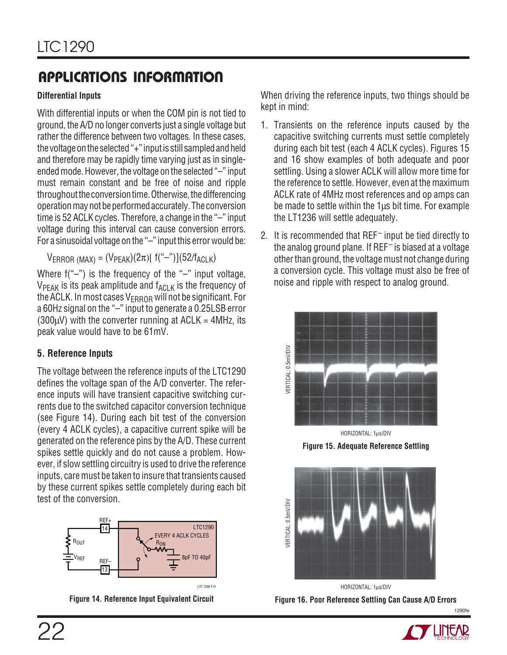### **Differential Inputs**

With differential inputs or when the COM pin is not tied to ground, the A/D no longer converts just a single voltage but rather the difference between two voltages. In these cases, the voltage on the selected "+" input is still sampled and held and therefore may be rapidly time varying just as in singleended mode. However, the voltage on the selected "–" input must remain constant and be free of noise and ripple throughout the conversion time. Otherwise, the differencing operation may not be performed accurately. The conversion time is 52 ACLK cycles. Therefore, a change in the "–" input voltage during this interval can cause conversion errors. For a sinusoidal voltage on the "-" input this error would be:

 $V_{\text{ERROR (MAX)}} = (V_{\text{PEAK}})(2\pi)[f(\text{``-''})](52/f_{\text{ACLK}})$ 

Where  $f("-")$  is the frequency of the "-" input voltage,  $V_{PEAK}$  is its peak amplitude and  $f_{ACLK}$  is the frequency of the ACLK. In most cases  $V_{ERROR}$  will not be significant. For a 60Hz signal on the "–" input to generate a 0.25LSB error  $(300\mu V)$  with the converter running at ACLK = 4MHz, its peak value would have to be 61mV.

### **5. Reference Inputs**

The voltage between the reference inputs of the LTC1290 defines the voltage span of the A/D converter. The reference inputs will have transient capacitive switching currents due to the switched capacitor conversion technique (see Figure 14). During each bit test of the conversion (every 4 ACLK cycles), a capacitive current spike will be generated on the reference pins by the A/D. These current spikes settle quickly and do not cause a problem. However, if slow settling circuitry is used to drive the reference inputs, care must be taken to insure that transients caused by these current spikes settle completely during each bit test of the conversion.



**Figure 14. Reference Input Equivalent Circuit**

When driving the reference inputs, two things should be kept in mind:

- 1. Transients on the reference inputs caused by the capacitive switching currents must settle completely during each bit test (each 4 ACLK cycles). Figures 15 and 16 show examples of both adequate and poor settling. Using a slower ACLK will allow more time for the reference to settle. However, even at the maximum ACLK rate of 4MHz most references and op amps can be made to settle within the 1µs bit time. For example the LT1236 will settle adequately.
- 2. It is recommended that REF– input be tied directly to the analog ground plane. If REF– is biased at a voltage other than ground, the voltage must not change during a conversion cycle. This voltage must also be free of noise and ripple with respect to analog ground.



**Figure 15. Adequate Reference Settling**



**Figure 16. Poor Reference Settling Can Cause A/D Errors** HORIZONTAL: 1µs/DIV

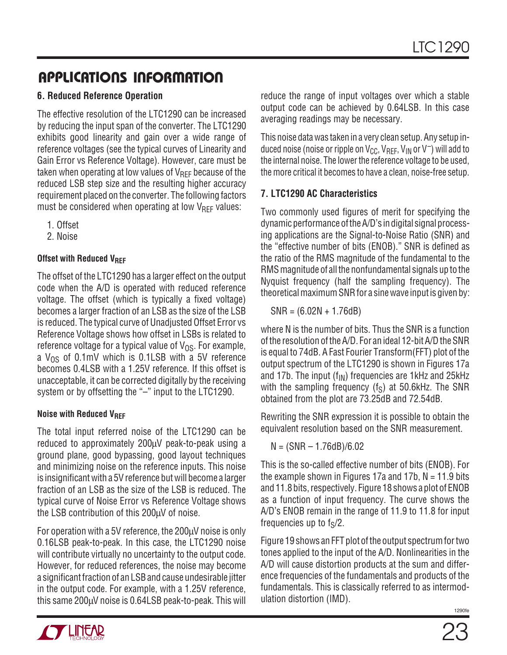### **6. Reduced Reference Operation**

The effective resolution of the LTC1290 can be increased by reducing the input span of the converter. The LTC1290 exhibits good linearity and gain over a wide range of reference voltages (see the typical curves of Linearity and Gain Error vs Reference Voltage). However, care must be taken when operating at low values of  $V_{\text{RFF}}$  because of the reduced LSB step size and the resulting higher accuracy requirement placed on the converter. The following factors must be considered when operating at low  $V_{\text{RFF}}$  values:

- 1. Offset
- 2. Noise

### **Offset with Reduced VREF**

The offset of the LTC1290 has a larger effect on the output code when the A/D is operated with reduced reference voltage. The offset (which is typically a fixed voltage) becomes a larger fraction of an LSB as the size of the LSB is reduced. The typical curve of Unadjusted Offset Error vs Reference Voltage shows how offset in LSBs is related to reference voltage for a typical value of  $V_{OS}$ . For example, a  $V_{OS}$  of 0.1mV which is 0.1LSB with a 5V reference becomes 0.4LSB with a 1.25V reference. If this offset is unacceptable, it can be corrected digitally by the receiving system or by offsetting the "–" input to the LTC1290.

### **Noise with Reduced V<sub>RFF</sub>**

The total input referred noise of the LTC1290 can be reduced to approximately 200µV peak-to-peak using a ground plane, good bypassing, good layout techniques and minimizing noise on the reference inputs. This noise is insignificant with a 5V reference but will become a larger fraction of an LSB as the size of the LSB is reduced. The typical curve of Noise Error vs Reference Voltage shows the LSB contribution of this 200µV of noise.

For operation with a 5V reference, the 200µV noise is only 0.16LSB peak-to-peak. In this case, the LTC1290 noise will contribute virtually no uncertainty to the output code. However, for reduced references, the noise may become a significant fraction of an LSB and cause undesirable jitter in the output code. For example, with a 1.25V reference, this same 200µV noise is 0.64LSB peak-to-peak. This will reduce the range of input voltages over which a stable output code can be achieved by 0.64LSB. In this case averaging readings may be necessary.

This noise data was taken in a very clean setup. Any setup induced noise (noise or ripple on  $V_{\text{CC}}$ ,  $V_{\text{RFF}}$ ,  $V_{\text{IN}}$  or  $V^-$ ) will add to the internal noise. The lower the reference voltage to be used, the more critical it becomes to have a clean, noise-free setup.

### **7. LTC1290 AC Characteristics**

Two commonly used figures of merit for specifying the dynamic performance of the A/D's in digital signal processing applications are the Signal-to-Noise Ratio (SNR) and the "effective number of bits (ENOB)." SNR is defined as the ratio of the RMS magnitude of the fundamental to the RMS magnitude of all the nonfundamental signals up to the Nyquist frequency (half the sampling frequency). The theoretical maximum SNR for a sine wave input is given by:

SNR = (6.02N + 1.76dB)

where N is the number of bits. Thus the SNR is a function of the resolution of the A/D. For an ideal 12-bit A/D the SNR is equal to 74dB. A Fast Fourier Transform(FFT) plot of the output spectrum of the LTC1290 is shown in Figures 17a and 17b. The input  $(f_{IN})$  frequencies are 1kHz and 25kHz with the sampling frequency  $(f_S)$  at 50.6kHz. The SNR obtained from the plot are 73.25dB and 72.54dB.

Rewriting the SNR expression it is possible to obtain the equivalent resolution based on the SNR measurement.

$$
N = (SNR - 1.76dB)/6.02
$$

This is the so-called effective number of bits (ENOB). For the example shown in Figures 17a and 17b,  $N = 11.9$  bits and 11.8 bits, respectively. Figure 18 shows a plot of ENOB as a function of input frequency. The curve shows the A/D's ENOB remain in the range of 11.9 to 11.8 for input frequencies up to  $f_S/2$ .

Figure 19 shows an FFT plot of the output spectrum for two tones applied to the input of the A/D. Nonlinearities in the A/D will cause distortion products at the sum and difference frequencies of the fundamentals and products of the fundamentals. This is classically referred to as intermodulation distortion (IMD).

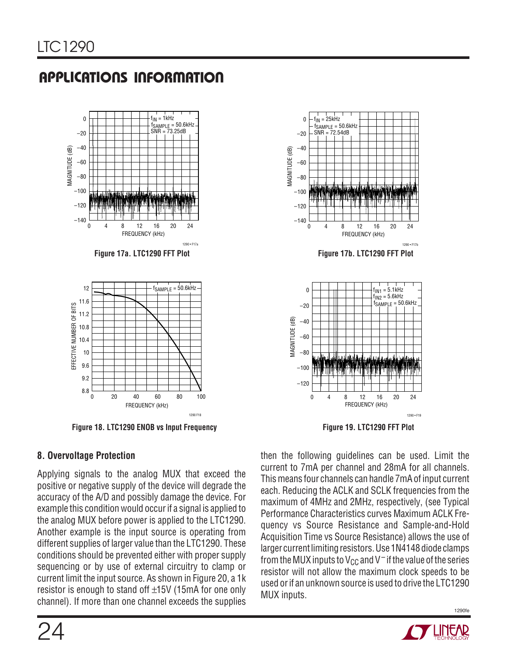

Figure 18. LTC1290 ENOB vs Input Frequency **Figure 19. LTC1290 FFT Plot** 

### **8. Overvoltage Protection**

Applying signals to the analog MUX that exceed the positive or negative supply of the device will degrade the accuracy of the A/D and possibly damage the device. For example this condition would occur if a signal is applied to the analog MUX before power is applied to the LTC1290. Another example is the input source is operating from different supplies of larger value than the LTC1290. These conditions should be prevented either with proper supply sequencing or by use of external circuitry to clamp or current limit the input source. As shown in Figure 20, a 1k resistor is enough to stand off ±15V (15mA for one only channel). If more than one channel exceeds the supplies



then the following guidelines can be used. Limit the current to 7mA per channel and 28mA for all channels. This means four channels can handle 7mA of input current each. Reducing the ACLK and SCLK frequencies from the maximum of 4MHz and 2MHz, respectively, (see Typical Performance Characteristics curves Maximum ACLK Frequency vs Source Resistance and Sample-and-Hold Acquisition Time vs Source Resistance) allows the use of larger current limiting resistors. Use 1N4148 diode clamps from the MUX inputs to  $V_{CC}$  and V<sup>-</sup> if the value of the series resistor will not allow the maximum clock speeds to be used or if an unknown source is used to drive the LTC1290 MUX inputs.

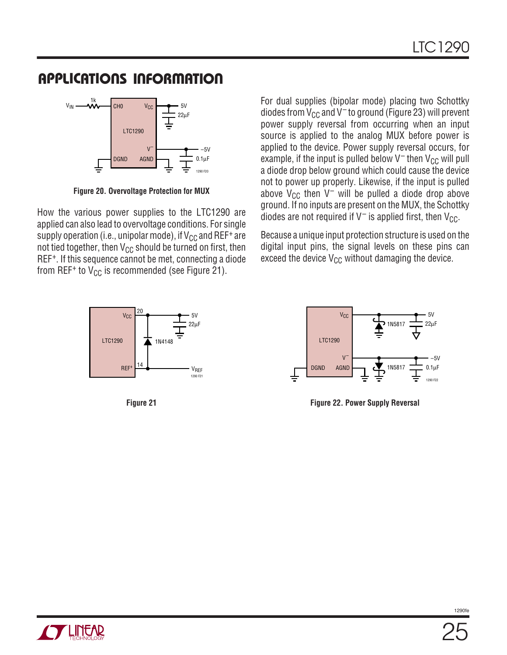

**Figure 20. Overvoltage Protection for MUX**

How the various power supplies to the LTC1290 are applied can also lead to overvoltage conditions. For single supply operation (i.e., unipolar mode), if  $V_{CC}$  and REF<sup>+</sup> are not tied together, then  $V_{CC}$  should be turned on first, then REF+. If this sequence cannot be met, connecting a diode from REF<sup>+</sup> to  $V_{CC}$  is recommended (see Figure 21).



For dual supplies (bipolar mode) placing two Schottky diodes from  $V_{CC}$  and  $V^-$  to ground (Figure 23) will prevent power supply reversal from occurring when an input source is applied to the analog MUX before power is applied to the device. Power supply reversal occurs, for example, if the input is pulled below  $V^-$  then  $V_{CC}$  will pull a diode drop below ground which could cause the device not to power up properly. Likewise, if the input is pulled above  $V_{CC}$  then V<sup>-</sup> will be pulled a diode drop above ground. If no inputs are present on the MUX, the Schottky diodes are not required if  $V^-$  is applied first, then  $V_{CC}$ .

Because a unique input protection structure is used on the digital input pins, the signal levels on these pins can exceed the device  $V_{CC}$  without damaging the device.



**Figure 21 Figure 22. Power Supply Reversal**

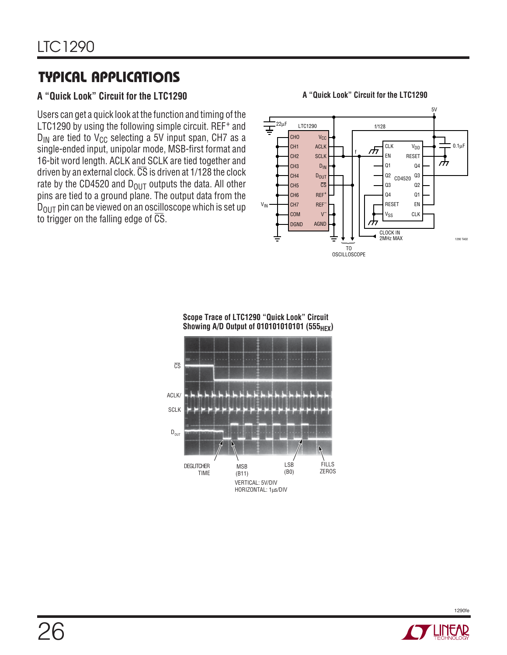### **A "Quick Look" Circuit for the LTC1290**

Users can get a quick look at the function and timing of the LTC1290 by using the following simple circuit. REF<sup>+</sup> and  $D_{IN}$  are tied to V<sub>CC</sub> selecting a 5V input span, CH7 as a single-ended input, unipolar mode, MSB-first format and 16-bit word length. ACLK and SCLK are tied together and driven by an external clock.  $\overline{CS}$  is driven at 1/128 the clock rate by the CD4520 and  $D_{OUT}$  outputs the data. All other pins are tied to a ground plane. The output data from the  $D<sub>OUT</sub>$  pin can be viewed on an oscilloscope which is set up to trigger on the falling edge of  $\overline{\text{CS}}$ .

**A "Quick Look" Circuit for the LTC1290**





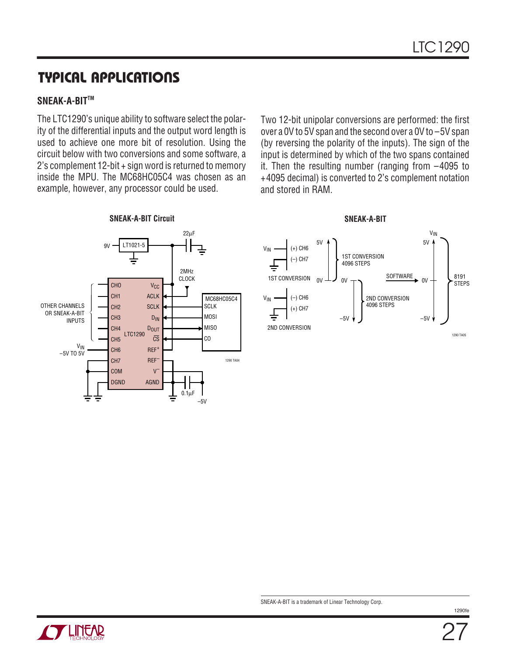#### **SNEAK-A-BITTM**

The LTC1290's unique ability to software select the polarity of the differential inputs and the output word length is used to achieve one more bit of resolution. Using the circuit below with two conversions and some software, a 2's complement 12-bit + sign word is returned to memory inside the MPU. The MC68HC05C4 was chosen as an example, however, any processor could be used.

Two 12-bit unipolar conversions are performed: the first over a 0V to 5V span and the second over a 0V to –5V span (by reversing the polarity of the inputs). The sign of the input is determined by which of the two spans contained it. Then the resulting number (ranging from –4095 to +4095 decimal) is converted to 2's complement notation and stored in RAM.



**SNEAK-A-BIT**



SNEAK-A-BIT is a trademark of Linear Technology Corp.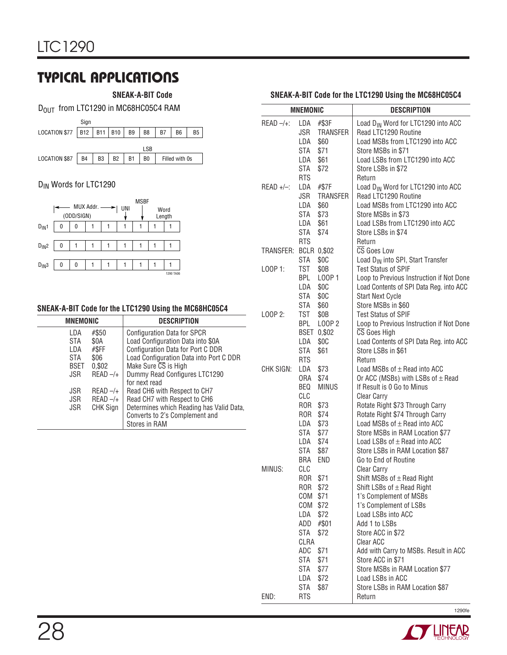**SNEAK-A-BIT Code**

D<sub>OUT</sub> from LTC1290 in MC68HC05C4 RAM



### D<sub>IN</sub> Words for LTC1290



#### **SNEAK-A-BIT Code for the LTC1290 Using the MC68HC05C4**

| <b>MNEMONIC</b> |            | <b>DESCRIPTION</b>                       |
|-----------------|------------|------------------------------------------|
| LDA             | #\$50      | <b>Configuration Data for SPCR</b>       |
| STA             | \$0A       | Load Configuration Data into \$0A        |
| LDA             | #\$FF      | Configuration Data for Port C DDR        |
| <b>STA</b>      | \$06       | Load Configuration Data into Port C DDR  |
| <b>BSET</b>     | 0,\$02     | Make Sure CS is High                     |
| JSR.            | $READ -/+$ | Dummy Read Configures LTC1290            |
|                 |            | for next read                            |
| JSR             | $READ -/+$ | Read CH6 with Respect to CH7             |
| JSR.            | $READ -/+$ | Read CH7 with Respect to CH6             |
| JSR             | CHK Sign   | Determines which Reading has Valid Data, |
|                 |            | Converts to 2's Complement and           |
|                 |            | <b>Stores in RAM</b>                     |

#### **SNEAK-A-BIT Code for the LTC1290 Using the MC68HC05C4**

|                       | <b>MNEMONIC</b>                                                                                        |                                                                                               | <b>DESCRIPTION</b>                                                                                                                                                                                                                                                                                                                                                          |
|-----------------------|--------------------------------------------------------------------------------------------------------|-----------------------------------------------------------------------------------------------|-----------------------------------------------------------------------------------------------------------------------------------------------------------------------------------------------------------------------------------------------------------------------------------------------------------------------------------------------------------------------------|
| $READ -/+$ :          | LDA<br>JSR<br>LDA<br>STA<br>LDA<br>STA<br><b>RTS</b>                                                   | #\$3F<br>TRANSFER<br>\$60<br>\$71<br>\$61<br>\$72                                             | Load D <sub>IN</sub> Word for LTC1290 into ACC<br>Read LTC1290 Routine<br>Load MSBs from LTC1290 into ACC<br>Store MSBs in \$71<br>Load LSBs from LTC1290 into ACC<br>Store LSBs in \$72<br>Return                                                                                                                                                                          |
| $READ +/-$ :          | LDA<br>JSR<br>LDA<br>STA<br>LDA<br>STA<br><b>RTS</b>                                                   | #\$7F<br><b>TRANSFER</b><br>\$60<br>\$73<br>\$61<br>\$74                                      | Load D <sub>IN</sub> Word for LTC1290 into ACC<br>Read LTC1290 Routine<br>Load MSBs from LTC1290 into ACC<br>Store MSBs in \$73<br>Load LSBs from LTC1290 into ACC<br>Store LSBs in \$74<br>Return                                                                                                                                                                          |
| TRANSFER: BCLR 0,\$02 | STA                                                                                                    | \$0C                                                                                          | CS Goes Low<br>Load D <sub>IN</sub> into SPI, Start Transfer                                                                                                                                                                                                                                                                                                                |
| LOOP 1:               | TST<br><b>BPL</b><br>LDA<br>STA<br>STA                                                                 | \$0 <sub>B</sub><br>L00P1<br>\$0C<br>\$0C<br>\$60                                             | <b>Test Status of SPIF</b><br>Loop to Previous Instruction if Not Done<br>Load Contents of SPI Data Reg. into ACC<br><b>Start Next Cycle</b><br>Store MSBs in \$60                                                                                                                                                                                                          |
| $LOOP$ 2:             | TST<br>BPL<br>LDA<br>STA<br><b>RTS</b>                                                                 | \$0B<br>L00P 2<br>BSET 0,\$02<br>\$0C<br>\$61                                                 | <b>Test Status of SPIF</b><br>Loop to Previous Instruction if Not Done<br>CS Goes High<br>Load Contents of SPI Data Reg. into ACC<br>Store LSBs in \$61<br>Return                                                                                                                                                                                                           |
| CHK SIGN:             | LDA<br>ORA<br>BEQ<br>CLC<br>ROR<br>ROR \$74<br>LDA<br>STA<br>LDA \$74<br>STA<br>BRA                    | \$73<br>\$74<br><b>MINUS</b><br>\$73<br>\$73<br>\$77<br>\$87<br>END                           | Load MSBs of $\pm$ Read into ACC<br>Or ACC (MSBs) with LSBs of $\pm$ Read<br>If Result is 0 Go to Minus<br><b>Clear Carry</b><br>Rotate Right \$73 Through Carry<br>Rotate Right \$74 Through Carry<br>Load MSBs of $\pm$ Read into ACC<br>Store MSBs in RAM Location \$77<br>Load LSBs of $\pm$ Read into ACC<br>Store LSBs in RAM Location \$87<br>Go to End of Routine   |
| MINUS:                | <b>CLC</b><br>ROR<br>ROR<br>COM<br>COM<br>LDA<br>ADD<br>STA<br>CLRA<br>ADC<br>STA<br>STA<br>LDA<br>STA | \$71<br>\$72<br>\$71<br>\$72<br>\$72<br>#\$01<br>\$72<br>\$71<br>\$71<br>\$77<br>\$72<br>\$87 | <b>Clear Carry</b><br>Shift MSBs of $\pm$ Read Right<br>Shift LSBs of $\pm$ Read Right<br>1's Complement of MSBs<br>1's Complement of LSBs<br>Load LSBs into ACC<br>Add 1 to LSBs<br>Store ACC in \$72<br>Clear ACC<br>Add with Carry to MSBs. Result in ACC<br>Store ACC in \$71<br>Store MSBs in RAM Location \$77<br>Load LSBs in ACC<br>Store LSBs in RAM Location \$87 |
| END:                  | RTS                                                                                                    |                                                                                               | Return                                                                                                                                                                                                                                                                                                                                                                      |

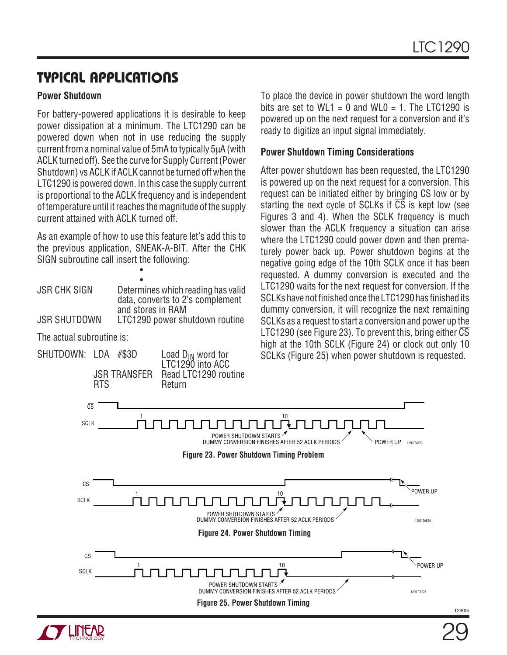### **Power Shutdown**

For battery-powered applications it is desirable to keep power dissipation at a minimum. The LTC1290 can be powered down when not in use reducing the supply current from a nominal value of 5mA to typically 5µA (with ACLK turned off). See the curve for Supply Current (Power Shutdown) vs ACLK if ACLK cannot be turned off when the LTC1290 is powered down. In this case the supply current is proportional to the ACLK frequency and is independent of temperature until it reaches the magnitude of the supply current attained with ACLK turned off.

As an example of how to use this feature let's add this to the previous application, SNEAK-A-BIT. After the CHK SIGN subroutine call insert the following:

•

| <b>JSR CHK SIGN</b>       |       | Determines which reading has valid<br>data, converts to 2's complement<br>and stores in RAM |
|---------------------------|-------|---------------------------------------------------------------------------------------------|
| <b>JSR SHUTDOWN</b>       |       | LTC1290 power shutdown routine                                                              |
| The actual subroutine is: |       |                                                                                             |
| SHUTDOWN: LDA             | #\$3D | Load $D_{IN}$ word for                                                                      |

LTC1290 into ACC

JSR TRANSFER Read LTC1290 routine Return

To place the device in power shutdown the word length bits are set to WL1 = 0 and WL0 = 1. The LTC1290 is powered up on the next request for a conversion and it's ready to digitize an input signal immediately.

### **Power Shutdown Timing Considerations**

After power shutdown has been requested, the LTC1290 is powered up on the next request for a conversion. This request can be initiated either by bringing  $\overline{CS}$  low or by starting the next cycle of SCLKs if  $\overline{CS}$  is kept low (see Figures 3 and 4). When the SCLK frequency is much slower than the ACLK frequency a situation can arise where the LTC1290 could power down and then prematurely power back up. Power shutdown begins at the negative going edge of the 10th SCLK once it has been requested. A dummy conversion is executed and the LTC1290 waits for the next request for conversion. If the SCLKs have not finished once the LTC1290 has finished its dummy conversion, it will recognize the next remaining SCLKs as a request to start a conversion and power up the LTC1290 (see Figure 23). To prevent this, bring either  $\overline{\text{CS}}$ high at the 10th SCLK (Figure 24) or clock out only 10 SCLKs (Figure 25) when power shutdown is requested.



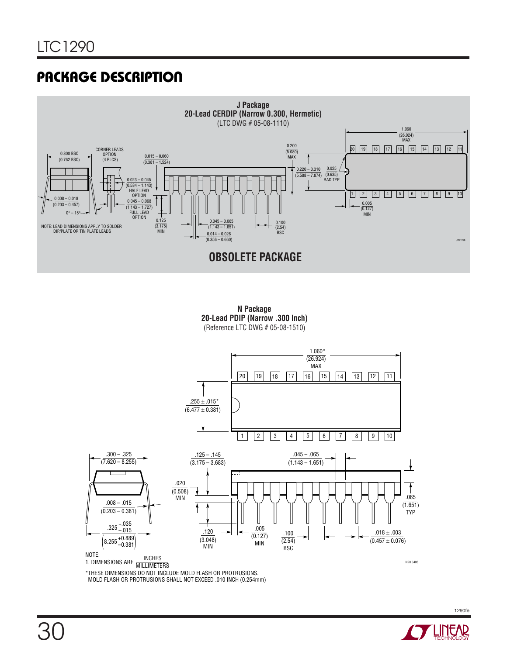# **PACKAGE DESCRIPTION**



**N Package 20-Lead PDIP (Narrow .300 Inch)** (Reference LTC DWG # 05-08-1510)



**TECHNOLOGY**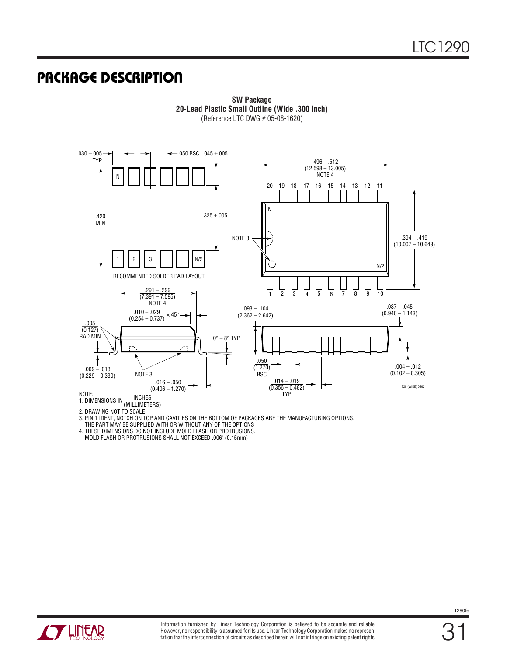# **PACKAGE DESCRIPTION**



**SW Package 20-Lead Plastic Small Outline (Wide .300 Inch)** (Reference LTC DWG # 05-08-1620)

2. DRAWING NOT TO SCALE

3. PIN 1 IDENT, NOTCH ON TOP AND CAVITIES ON THE BOTTOM OF PACKAGES ARE THE MANUFACTURING OPTIONS.

THE PART MAY BE SUPPLIED WITH OR WITHOUT ANY OF THE OPTIONS

4. THESE DIMENSIONS DO NOT INCLUDE MOLD FLASH OR PROTRUSIONS. MOLD FLASH OR PROTRUSIONS SHALL NOT EXCEED .006" (0.15mm)